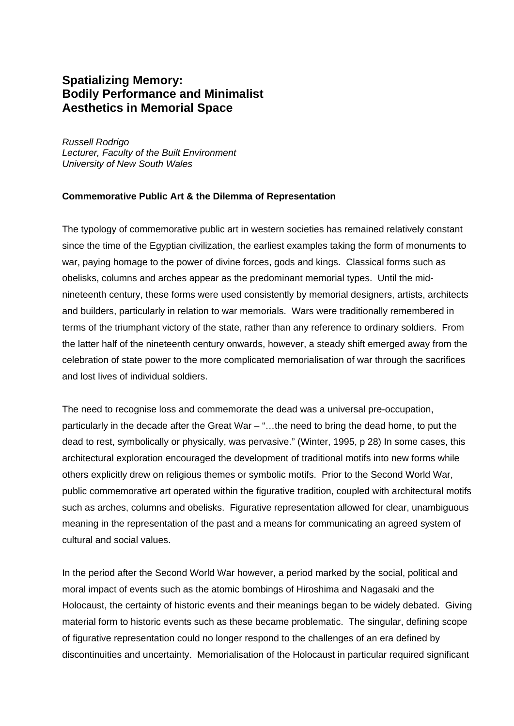# **Spatializing Memory: Bodily Performance and Minimalist Aesthetics in Memorial Space**

*Russell Rodrigo Lecturer, Faculty of the Built Environment University of New South Wales* 

#### **Commemorative Public Art & the Dilemma of Representation**

The typology of commemorative public art in western societies has remained relatively constant since the time of the Egyptian civilization, the earliest examples taking the form of monuments to war, paying homage to the power of divine forces, gods and kings. Classical forms such as obelisks, columns and arches appear as the predominant memorial types. Until the midnineteenth century, these forms were used consistently by memorial designers, artists, architects and builders, particularly in relation to war memorials. Wars were traditionally remembered in terms of the triumphant victory of the state, rather than any reference to ordinary soldiers. From the latter half of the nineteenth century onwards, however, a steady shift emerged away from the celebration of state power to the more complicated memorialisation of war through the sacrifices and lost lives of individual soldiers.

The need to recognise loss and commemorate the dead was a universal pre-occupation, particularly in the decade after the Great War – "…the need to bring the dead home, to put the dead to rest, symbolically or physically, was pervasive." (Winter, 1995, p 28) In some cases, this architectural exploration encouraged the development of traditional motifs into new forms while others explicitly drew on religious themes or symbolic motifs. Prior to the Second World War, public commemorative art operated within the figurative tradition, coupled with architectural motifs such as arches, columns and obelisks. Figurative representation allowed for clear, unambiguous meaning in the representation of the past and a means for communicating an agreed system of cultural and social values.

In the period after the Second World War however, a period marked by the social, political and moral impact of events such as the atomic bombings of Hiroshima and Nagasaki and the Holocaust, the certainty of historic events and their meanings began to be widely debated. Giving material form to historic events such as these became problematic. The singular, defining scope of figurative representation could no longer respond to the challenges of an era defined by discontinuities and uncertainty. Memorialisation of the Holocaust in particular required significant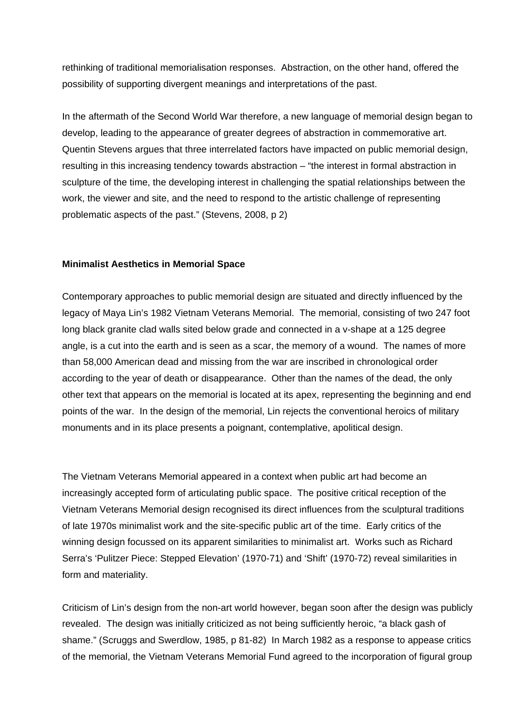rethinking of traditional memorialisation responses. Abstraction, on the other hand, offered the possibility of supporting divergent meanings and interpretations of the past.

In the aftermath of the Second World War therefore, a new language of memorial design began to develop, leading to the appearance of greater degrees of abstraction in commemorative art. Quentin Stevens argues that three interrelated factors have impacted on public memorial design, resulting in this increasing tendency towards abstraction – "the interest in formal abstraction in sculpture of the time, the developing interest in challenging the spatial relationships between the work, the viewer and site, and the need to respond to the artistic challenge of representing problematic aspects of the past." (Stevens, 2008, p 2)

#### **Minimalist Aesthetics in Memorial Space**

Contemporary approaches to public memorial design are situated and directly influenced by the legacy of Maya Lin's 1982 Vietnam Veterans Memorial. The memorial, consisting of two 247 foot long black granite clad walls sited below grade and connected in a v-shape at a 125 degree angle, is a cut into the earth and is seen as a scar, the memory of a wound. The names of more than 58,000 American dead and missing from the war are inscribed in chronological order according to the year of death or disappearance. Other than the names of the dead, the only other text that appears on the memorial is located at its apex, representing the beginning and end points of the war. In the design of the memorial, Lin rejects the conventional heroics of military monuments and in its place presents a poignant, contemplative, apolitical design.

The Vietnam Veterans Memorial appeared in a context when public art had become an increasingly accepted form of articulating public space. The positive critical reception of the Vietnam Veterans Memorial design recognised its direct influences from the sculptural traditions of late 1970s minimalist work and the site-specific public art of the time. Early critics of the winning design focussed on its apparent similarities to minimalist art. Works such as Richard Serra's 'Pulitzer Piece: Stepped Elevation' (1970-71) and 'Shift' (1970-72) reveal similarities in form and materiality.

Criticism of Lin's design from the non-art world however, began soon after the design was publicly revealed. The design was initially criticized as not being sufficiently heroic, "a black gash of shame." (Scruggs and Swerdlow, 1985, p 81-82) In March 1982 as a response to appease critics of the memorial, the Vietnam Veterans Memorial Fund agreed to the incorporation of figural group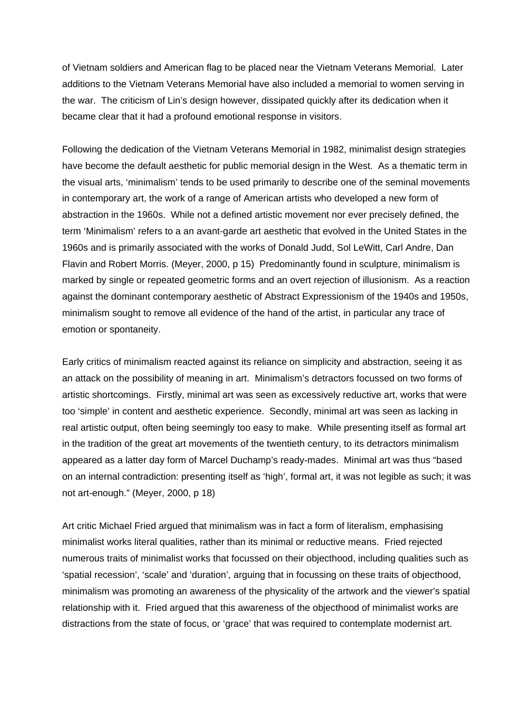of Vietnam soldiers and American flag to be placed near the Vietnam Veterans Memorial. Later additions to the Vietnam Veterans Memorial have also included a memorial to women serving in the war. The criticism of Lin's design however, dissipated quickly after its dedication when it became clear that it had a profound emotional response in visitors.

Following the dedication of the Vietnam Veterans Memorial in 1982, minimalist design strategies have become the default aesthetic for public memorial design in the West. As a thematic term in the visual arts, 'minimalism' tends to be used primarily to describe one of the seminal movements in contemporary art, the work of a range of American artists who developed a new form of abstraction in the 1960s. While not a defined artistic movement nor ever precisely defined, the term 'Minimalism' refers to a an avant-garde art aesthetic that evolved in the United States in the 1960s and is primarily associated with the works of Donald Judd, Sol LeWitt, Carl Andre, Dan Flavin and Robert Morris. (Meyer, 2000, p 15) Predominantly found in sculpture, minimalism is marked by single or repeated geometric forms and an overt rejection of illusionism. As a reaction against the dominant contemporary aesthetic of Abstract Expressionism of the 1940s and 1950s, minimalism sought to remove all evidence of the hand of the artist, in particular any trace of emotion or spontaneity.

Early critics of minimalism reacted against its reliance on simplicity and abstraction, seeing it as an attack on the possibility of meaning in art. Minimalism's detractors focussed on two forms of artistic shortcomings. Firstly, minimal art was seen as excessively reductive art, works that were too 'simple' in content and aesthetic experience. Secondly, minimal art was seen as lacking in real artistic output, often being seemingly too easy to make. While presenting itself as formal art in the tradition of the great art movements of the twentieth century, to its detractors minimalism appeared as a latter day form of Marcel Duchamp's ready-mades. Minimal art was thus "based on an internal contradiction: presenting itself as 'high', formal art, it was not legible as such; it was not art-enough." (Meyer, 2000, p 18)

Art critic Michael Fried argued that minimalism was in fact a form of literalism, emphasising minimalist works literal qualities, rather than its minimal or reductive means. Fried rejected numerous traits of minimalist works that focussed on their objecthood, including qualities such as 'spatial recession', 'scale' and 'duration', arguing that in focussing on these traits of objecthood, minimalism was promoting an awareness of the physicality of the artwork and the viewer's spatial relationship with it. Fried argued that this awareness of the objecthood of minimalist works are distractions from the state of focus, or 'grace' that was required to contemplate modernist art.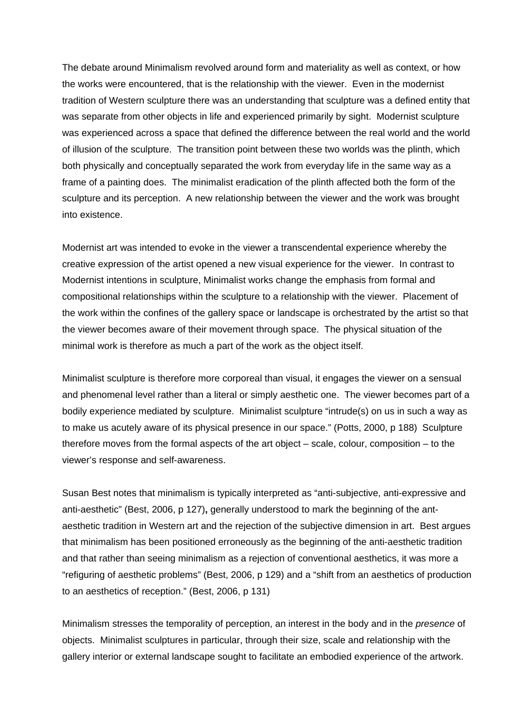The debate around Minimalism revolved around form and materiality as well as context, or how the works were encountered, that is the relationship with the viewer. Even in the modernist tradition of Western sculpture there was an understanding that sculpture was a defined entity that was separate from other objects in life and experienced primarily by sight. Modernist sculpture was experienced across a space that defined the difference between the real world and the world of illusion of the sculpture. The transition point between these two worlds was the plinth, which both physically and conceptually separated the work from everyday life in the same way as a frame of a painting does. The minimalist eradication of the plinth affected both the form of the sculpture and its perception. A new relationship between the viewer and the work was brought into existence.

Modernist art was intended to evoke in the viewer a transcendental experience whereby the creative expression of the artist opened a new visual experience for the viewer. In contrast to Modernist intentions in sculpture, Minimalist works change the emphasis from formal and compositional relationships within the sculpture to a relationship with the viewer. Placement of the work within the confines of the gallery space or landscape is orchestrated by the artist so that the viewer becomes aware of their movement through space. The physical situation of the minimal work is therefore as much a part of the work as the object itself.

Minimalist sculpture is therefore more corporeal than visual, it engages the viewer on a sensual and phenomenal level rather than a literal or simply aesthetic one. The viewer becomes part of a bodily experience mediated by sculpture. Minimalist sculpture "intrude(s) on us in such a way as to make us acutely aware of its physical presence in our space." (Potts, 2000, p 188) Sculpture therefore moves from the formal aspects of the art object – scale, colour, composition – to the viewer's response and self-awareness.

Susan Best notes that minimalism is typically interpreted as "anti-subjective, anti-expressive and anti-aesthetic" (Best, 2006, p 127)**,** generally understood to mark the beginning of the antaesthetic tradition in Western art and the rejection of the subjective dimension in art. Best argues that minimalism has been positioned erroneously as the beginning of the anti-aesthetic tradition and that rather than seeing minimalism as a rejection of conventional aesthetics, it was more a "refiguring of aesthetic problems" (Best, 2006, p 129) and a "shift from an aesthetics of production to an aesthetics of reception." (Best, 2006, p 131)

Minimalism stresses the temporality of perception, an interest in the body and in the *presence* of objects. Minimalist sculptures in particular, through their size, scale and relationship with the gallery interior or external landscape sought to facilitate an embodied experience of the artwork.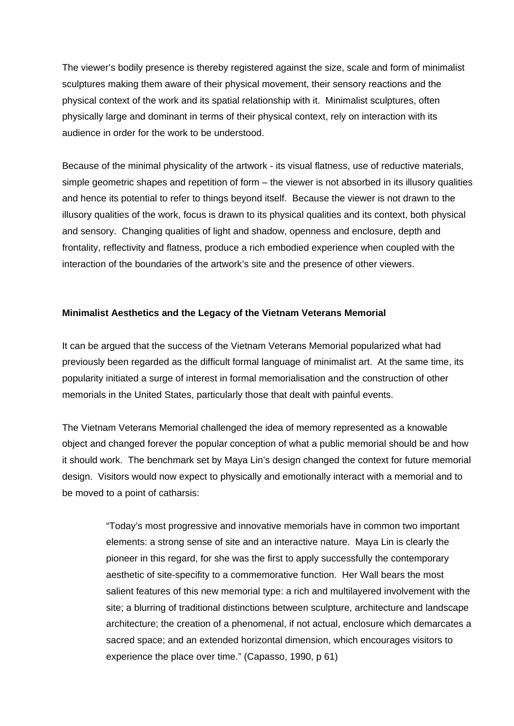The viewer's bodily presence is thereby registered against the size, scale and form of minimalist sculptures making them aware of their physical movement, their sensory reactions and the physical context of the work and its spatial relationship with it. Minimalist sculptures, often physically large and dominant in terms of their physical context, rely on interaction with its audience in order for the work to be understood.

Because of the minimal physicality of the artwork - its visual flatness, use of reductive materials, simple geometric shapes and repetition of form – the viewer is not absorbed in its illusory qualities and hence its potential to refer to things beyond itself. Because the viewer is not drawn to the illusory qualities of the work, focus is drawn to its physical qualities and its context, both physical and sensory. Changing qualities of light and shadow, openness and enclosure, depth and frontality, reflectivity and flatness, produce a rich embodied experience when coupled with the interaction of the boundaries of the artwork's site and the presence of other viewers.

## **Minimalist Aesthetics and the Legacy of the Vietnam Veterans Memorial**

It can be argued that the success of the Vietnam Veterans Memorial popularized what had previously been regarded as the difficult formal language of minimalist art. At the same time, its popularity initiated a surge of interest in formal memorialisation and the construction of other memorials in the United States, particularly those that dealt with painful events.

The Vietnam Veterans Memorial challenged the idea of memory represented as a knowable object and changed forever the popular conception of what a public memorial should be and how it should work. The benchmark set by Maya Lin's design changed the context for future memorial design. Visitors would now expect to physically and emotionally interact with a memorial and to be moved to a point of catharsis:

> "Today's most progressive and innovative memorials have in common two important elements: a strong sense of site and an interactive nature. Maya Lin is clearly the pioneer in this regard, for she was the first to apply successfully the contemporary aesthetic of site-specifity to a commemorative function. Her Wall bears the most salient features of this new memorial type: a rich and multilayered involvement with the site; a blurring of traditional distinctions between sculpture, architecture and landscape architecture; the creation of a phenomenal, if not actual, enclosure which demarcates a sacred space; and an extended horizontal dimension, which encourages visitors to experience the place over time." (Capasso, 1990, p 61)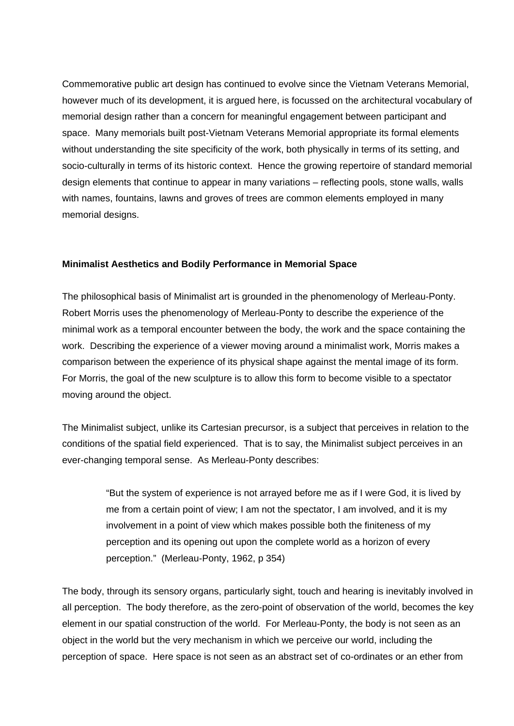Commemorative public art design has continued to evolve since the Vietnam Veterans Memorial, however much of its development, it is argued here, is focussed on the architectural vocabulary of memorial design rather than a concern for meaningful engagement between participant and space. Many memorials built post-Vietnam Veterans Memorial appropriate its formal elements without understanding the site specificity of the work, both physically in terms of its setting, and socio-culturally in terms of its historic context. Hence the growing repertoire of standard memorial design elements that continue to appear in many variations – reflecting pools, stone walls, walls with names, fountains, lawns and groves of trees are common elements employed in many memorial designs.

#### **Minimalist Aesthetics and Bodily Performance in Memorial Space**

The philosophical basis of Minimalist art is grounded in the phenomenology of Merleau-Ponty. Robert Morris uses the phenomenology of Merleau-Ponty to describe the experience of the minimal work as a temporal encounter between the body, the work and the space containing the work. Describing the experience of a viewer moving around a minimalist work, Morris makes a comparison between the experience of its physical shape against the mental image of its form. For Morris, the goal of the new sculpture is to allow this form to become visible to a spectator moving around the object.

The Minimalist subject, unlike its Cartesian precursor, is a subject that perceives in relation to the conditions of the spatial field experienced. That is to say, the Minimalist subject perceives in an ever-changing temporal sense. As Merleau-Ponty describes:

> "But the system of experience is not arrayed before me as if I were God, it is lived by me from a certain point of view; I am not the spectator, I am involved, and it is my involvement in a point of view which makes possible both the finiteness of my perception and its opening out upon the complete world as a horizon of every perception." (Merleau-Ponty, 1962, p 354)

The body, through its sensory organs, particularly sight, touch and hearing is inevitably involved in all perception. The body therefore, as the zero-point of observation of the world, becomes the key element in our spatial construction of the world. For Merleau-Ponty, the body is not seen as an object in the world but the very mechanism in which we perceive our world, including the perception of space. Here space is not seen as an abstract set of co-ordinates or an ether from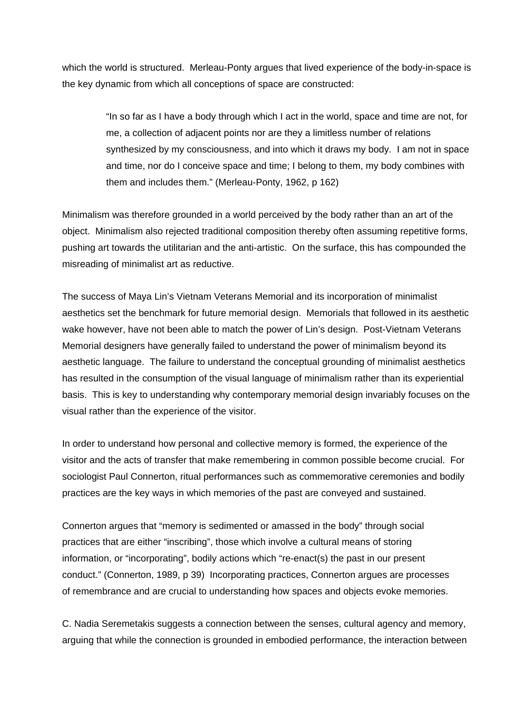which the world is structured. Merleau-Ponty argues that lived experience of the body-in-space is the key dynamic from which all conceptions of space are constructed:

> "In so far as I have a body through which I act in the world, space and time are not, for me, a collection of adjacent points nor are they a limitless number of relations synthesized by my consciousness, and into which it draws my body. I am not in space and time, nor do I conceive space and time; I belong to them, my body combines with them and includes them." (Merleau-Ponty, 1962, p 162)

Minimalism was therefore grounded in a world perceived by the body rather than an art of the object. Minimalism also rejected traditional composition thereby often assuming repetitive forms, pushing art towards the utilitarian and the anti-artistic. On the surface, this has compounded the misreading of minimalist art as reductive.

The success of Maya Lin's Vietnam Veterans Memorial and its incorporation of minimalist aesthetics set the benchmark for future memorial design. Memorials that followed in its aesthetic wake however, have not been able to match the power of Lin's design. Post-Vietnam Veterans Memorial designers have generally failed to understand the power of minimalism beyond its aesthetic language. The failure to understand the conceptual grounding of minimalist aesthetics has resulted in the consumption of the visual language of minimalism rather than its experiential basis. This is key to understanding why contemporary memorial design invariably focuses on the visual rather than the experience of the visitor.

In order to understand how personal and collective memory is formed, the experience of the visitor and the acts of transfer that make remembering in common possible become crucial. For sociologist Paul Connerton, ritual performances such as commemorative ceremonies and bodily practices are the key ways in which memories of the past are conveyed and sustained.

Connerton argues that "memory is sedimented or amassed in the body" through social practices that are either "inscribing", those which involve a cultural means of storing information, or "incorporating", bodily actions which "re-enact(s) the past in our present conduct." (Connerton, 1989, p 39) Incorporating practices, Connerton argues are processes of remembrance and are crucial to understanding how spaces and objects evoke memories.

C. Nadia Seremetakis suggests a connection between the senses, cultural agency and memory, arguing that while the connection is grounded in embodied performance, the interaction between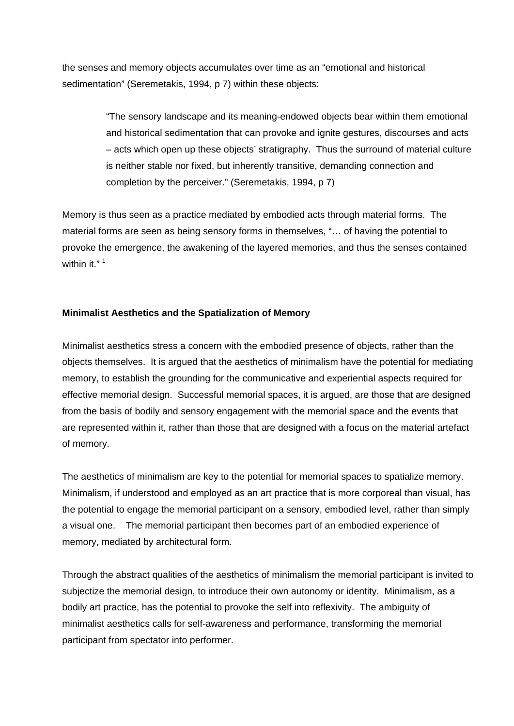the senses and memory objects accumulates over time as an "emotional and historical sedimentation" (Seremetakis, 1994, p 7) within these objects:

> "The sensory landscape and its meaning-endowed objects bear within them emotional and historical sedimentation that can provoke and ignite gestures, discourses and acts – acts which open up these objects' stratigraphy. Thus the surround of material culture is neither stable nor fixed, but inherently transitive, demanding connection and completion by the perceiver." (Seremetakis, 1994, p 7)

Memory is thus seen as a practice mediated by embodied acts through material forms. The material forms are seen as being sensory forms in themselves, "… of having the potential to provoke the emergence, the awakening of the layered memories, and thus the senses contained within it."<sup>1</sup>

## **Minimalist Aesthetics and the Spatialization of Memory**

Minimalist aesthetics stress a concern with the embodied presence of objects, rather than the objects themselves. It is argued that the aesthetics of minimalism have the potential for mediating memory, to establish the grounding for the communicative and experiential aspects required for effective memorial design. Successful memorial spaces, it is argued, are those that are designed from the basis of bodily and sensory engagement with the memorial space and the events that are represented within it, rather than those that are designed with a focus on the material artefact of memory.

The aesthetics of minimalism are key to the potential for memorial spaces to spatialize memory. Minimalism, if understood and employed as an art practice that is more corporeal than visual, has the potential to engage the memorial participant on a sensory, embodied level, rather than simply a visual one. The memorial participant then becomes part of an embodied experience of memory, mediated by architectural form.

Through the abstract qualities of the aesthetics of minimalism the memorial participant is invited to subjectize the memorial design, to introduce their own autonomy or identity. Minimalism, as a bodily art practice, has the potential to provoke the self into reflexivity. The ambiguity of minimalist aesthetics calls for self-awareness and performance, transforming the memorial participant from spectator into performer.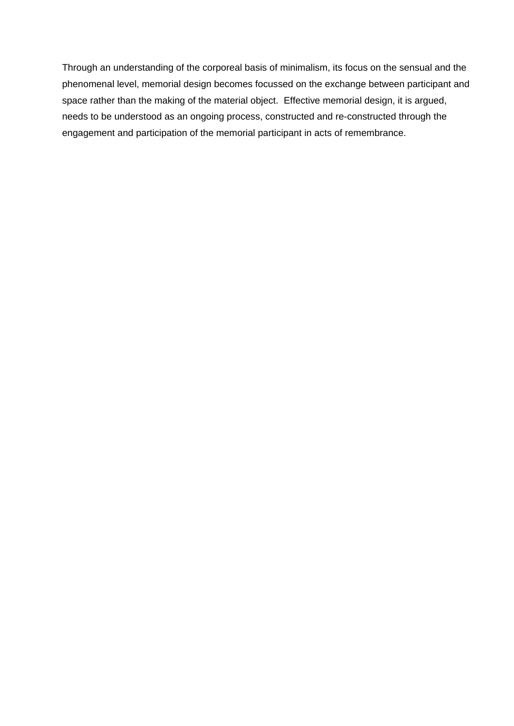Through an understanding of the corporeal basis of minimalism, its focus on the sensual and the phenomenal level, memorial design becomes focussed on the exchange between participant and space rather than the making of the material object. Effective memorial design, it is argued, needs to be understood as an ongoing process, constructed and re-constructed through the engagement and participation of the memorial participant in acts of remembrance.